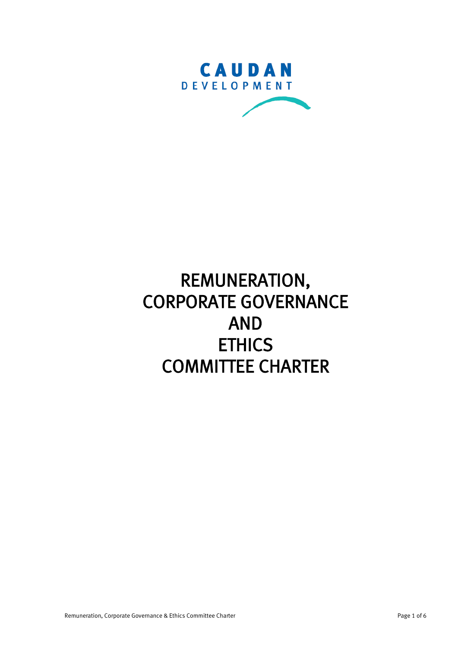

# REMUNERATION, CORPORATE GOVERNANCE AND **ETHICS** COMMITTEE CHARTER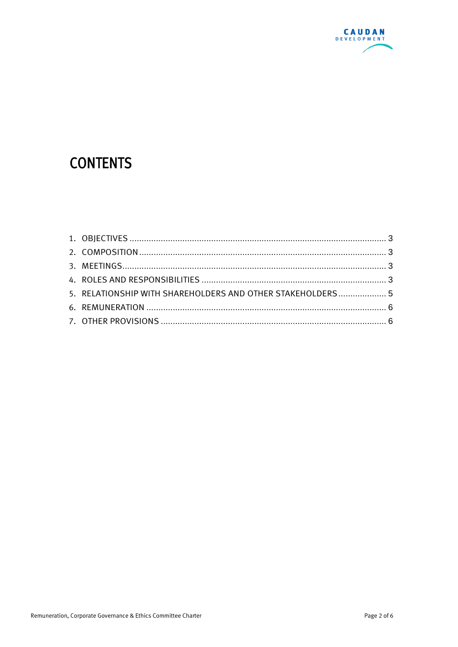

# **CONTENTS**

| 5. RELATIONSHIP WITH SHAREHOLDERS AND OTHER STAKEHOLDERS 5 |  |
|------------------------------------------------------------|--|
|                                                            |  |
|                                                            |  |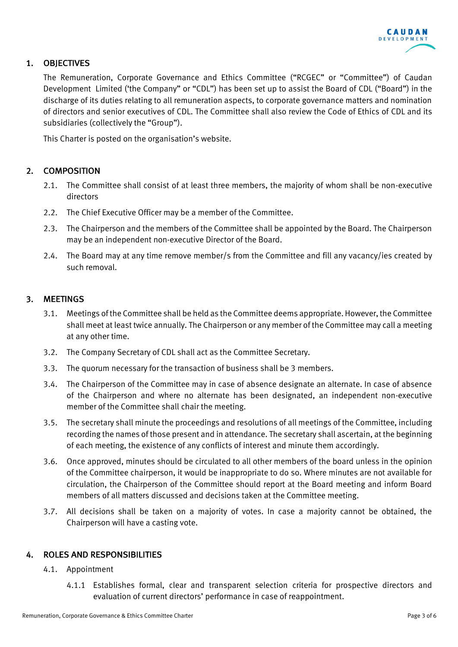

# <span id="page-2-0"></span>1. OBJECTIVES

The Remuneration, Corporate Governance and Ethics Committee ("RCGEC" or "Committee") of Caudan Development Limited ('the Company" or "CDL") has been set up to assist the Board of CDL ("Board") in the discharge of its duties relating to all remuneration aspects, to corporate governance matters and nomination of directors and senior executives of CDL. The Committee shall also review the Code of Ethics of CDL and its subsidiaries (collectively the "Group").

This Charter is posted on the organisation's website.

## <span id="page-2-1"></span>2. COMPOSITION

- 2.1. The Committee shall consist of at least three members, the majority of whom shall be non-executive directors
- 2.2. The Chief Executive Officer may be a member of the Committee.
- 2.3. The Chairperson and the members of the Committee shall be appointed by the Board. The Chairperson may be an independent non-executive Director of the Board.
- 2.4. The Board may at any time remove member/s from the Committee and fill any vacancy/ies created by such removal.

#### <span id="page-2-2"></span>3. MEETINGS

- 3.1. Meetings of the Committee shall be held as the Committee deems appropriate. However, the Committee shall meet at least twice annually. The Chairperson or any member of the Committee may call a meeting at any other time.
- 3.2. The Company Secretary of CDL shall act as the Committee Secretary.
- 3.3. The quorum necessary for the transaction of business shall be 3 members.
- 3.4. The Chairperson of the Committee may in case of absence designate an alternate. In case of absence of the Chairperson and where no alternate has been designated, an independent non-executive member of the Committee shall chair the meeting.
- 3.5. The secretary shall minute the proceedings and resolutions of all meetings of the Committee, including recording the names of those present and in attendance. The secretary shall ascertain, at the beginning of each meeting, the existence of any conflicts of interest and minute them accordingly.
- 3.6. Once approved, minutes should be circulated to all other members of the board unless in the opinion of the Committee chairperson, it would be inappropriate to do so. Where minutes are not available for circulation, the Chairperson of the Committee should report at the Board meeting and inform Board members of all matters discussed and decisions taken at the Committee meeting.
- 3.7. All decisions shall be taken on a majority of votes. In case a majority cannot be obtained, the Chairperson will have a casting vote.

#### <span id="page-2-3"></span>4. ROLES AND RESPONSIBILITIES

#### 4.1. Appointment

4.1.1 Establishes formal, clear and transparent selection criteria for prospective directors and evaluation of current directors' performance in case of reappointment.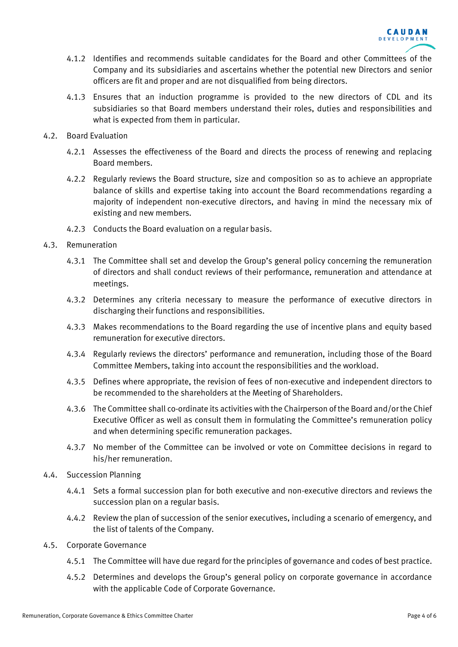

- 4.1.2 Identifies and recommends suitable candidates for the Board and other Committees of the Company and its subsidiaries and ascertains whether the potential new Directors and senior officers are fit and proper and are not disqualified from being directors.
- 4.1.3 Ensures that an induction programme is provided to the new directors of CDL and its subsidiaries so that Board members understand their roles, duties and responsibilities and what is expected from them in particular.
- 4.2. Board Evaluation
	- 4.2.1 Assesses the effectiveness of the Board and directs the process of renewing and replacing Board members.
	- 4.2.2 Regularly reviews the Board structure, size and composition so as to achieve an appropriate balance of skills and expertise taking into account the Board recommendations regarding a majority of independent non-executive directors, and having in mind the necessary mix of existing and new members.
	- 4.2.3 Conducts the Board evaluation on a regular basis.
- 4.3. Remuneration
	- 4.3.1 The Committee shall set and develop the Group's general policy concerning the remuneration of directors and shall conduct reviews of their performance, remuneration and attendance at meetings.
	- 4.3.2 Determines any criteria necessary to measure the performance of executive directors in discharging their functions and responsibilities.
	- 4.3.3 Makes recommendations to the Board regarding the use of incentive plans and equity based remuneration for executive directors.
	- 4.3.4 Regularly reviews the directors' performance and remuneration, including those of the Board Committee Members, taking into account the responsibilities and the workload.
	- 4.3.5 Defines where appropriate, the revision of fees of non-executive and independent directors to be recommended to the shareholders at the Meeting of Shareholders.
	- 4.3.6 The Committee shall co-ordinate its activities with the Chairperson of the Board and/or the Chief Executive Officer as well as consult them in formulating the Committee's remuneration policy and when determining specific remuneration packages.
	- 4.3.7 No member of the Committee can be involved or vote on Committee decisions in regard to his/her remuneration.
- 4.4. Succession Planning
	- 4.4.1 Sets a formal succession plan for both executive and non-executive directors and reviews the succession plan on a regular basis.
	- 4.4.2 Review the plan of succession of the senior executives, including a scenario of emergency, and the list of talents of the Company.
- 4.5. Corporate Governance
	- 4.5.1 The Committee will have due regard for the principles of governance and codes of best practice.
	- 4.5.2 Determines and develops the Group's general policy on corporate governance in accordance with the applicable Code of Corporate Governance.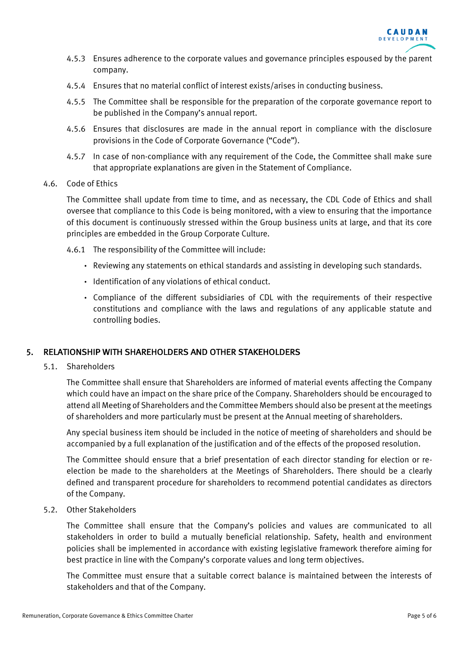

- 4.5.3 Ensures adherence to the corporate values and governance principles espoused by the parent company.
- 4.5.4 Ensures that no material conflict of interest exists/arises in conducting business.
- 4.5.5 The Committee shall be responsible for the preparation of the corporate governance report to be published in the Company's annual report.
- 4.5.6 Ensures that disclosures are made in the annual report in compliance with the disclosure provisions in the Code of Corporate Governance ("Code").
- 4.5.7 In case of non-compliance with any requirement of the Code, the Committee shall make sure that appropriate explanations are given in the Statement of Compliance.

#### 4.6. Code of Ethics

The Committee shall update from time to time, and as necessary, the CDL Code of Ethics and shall oversee that compliance to this Code is being monitored, with a view to ensuring that the importance of this document is continuously stressed within the Group business units at large, and that its core principles are embedded in the Group Corporate Culture.

- 4.6.1 The responsibility of the Committee will include:
	- Reviewing any statements on ethical standards and assisting in developing such standards.
	- Identification of any violations of ethical conduct.
	- Compliance of the different subsidiaries of CDL with the requirements of their respective constitutions and compliance with the laws and regulations of any applicable statute and controlling bodies.

#### <span id="page-4-0"></span>5. RELATIONSHIP WITH SHAREHOLDERS AND OTHER STAKEHOLDERS

5.1. Shareholders

The Committee shall ensure that Shareholders are informed of material events affecting the Company which could have an impact on the share price of the Company. Shareholders should be encouraged to attend all Meeting of Shareholders and the Committee Members should also be present at the meetings of shareholders and more particularly must be present at the Annual meeting of shareholders.

Any special business item should be included in the notice of meeting of shareholders and should be accompanied by a full explanation of the justification and of the effects of the proposed resolution.

The Committee should ensure that a brief presentation of each director standing for election or reelection be made to the shareholders at the Meetings of Shareholders. There should be a clearly defined and transparent procedure for shareholders to recommend potential candidates as directors of the Company.

#### 5.2. Other Stakeholders

The Committee shall ensure that the Company's policies and values are communicated to all stakeholders in order to build a mutually beneficial relationship. Safety, health and environment policies shall be implemented in accordance with existing legislative framework therefore aiming for best practice in line with the Company's corporate values and long term objectives.

The Committee must ensure that a suitable correct balance is maintained between the interests of stakeholders and that of the Company.